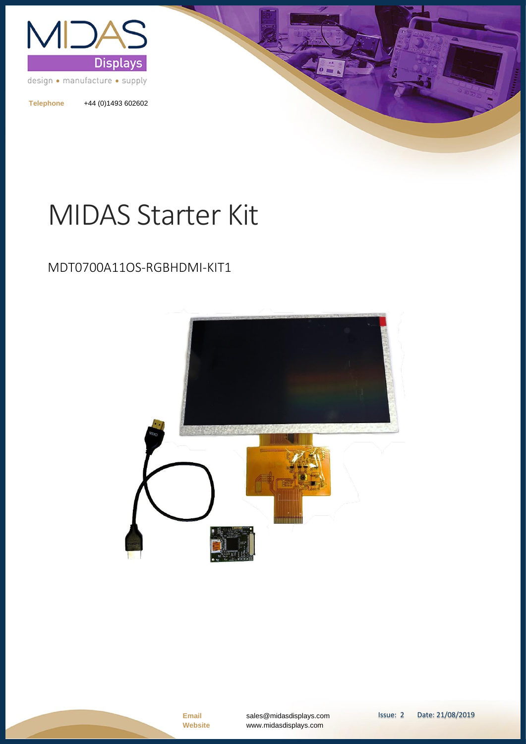

**Telephone** +44 (0)1493 602602

# MIDAS Starter Kit

#### MDT0700A11OS-RGBHDMI-KIT1

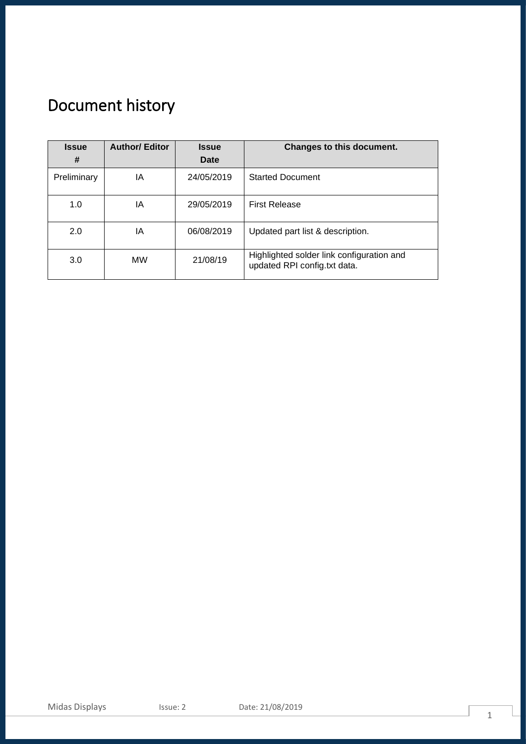# <span id="page-1-0"></span>Document history

| <b>Issue</b><br># | <b>Author/Editor</b> | <b>Issue</b><br>Date | Changes to this document.                                                 |
|-------------------|----------------------|----------------------|---------------------------------------------------------------------------|
| Preliminary       | ΙA                   | 24/05/2019           | <b>Started Document</b>                                                   |
| 1.0               | ΙA                   | 29/05/2019           | <b>First Release</b>                                                      |
| 2.0               | ΙA                   | 06/08/2019           | Updated part list & description.                                          |
| 3.0               | MW                   | 21/08/19             | Highlighted solder link configuration and<br>updated RPI config.txt data. |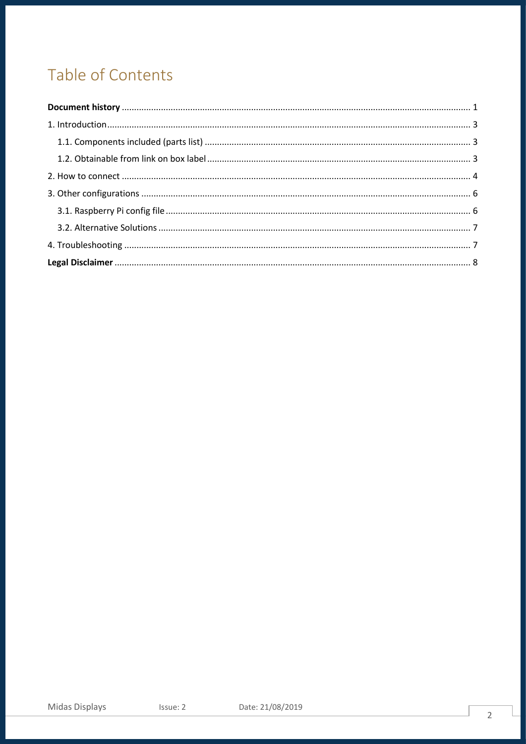## Table of Contents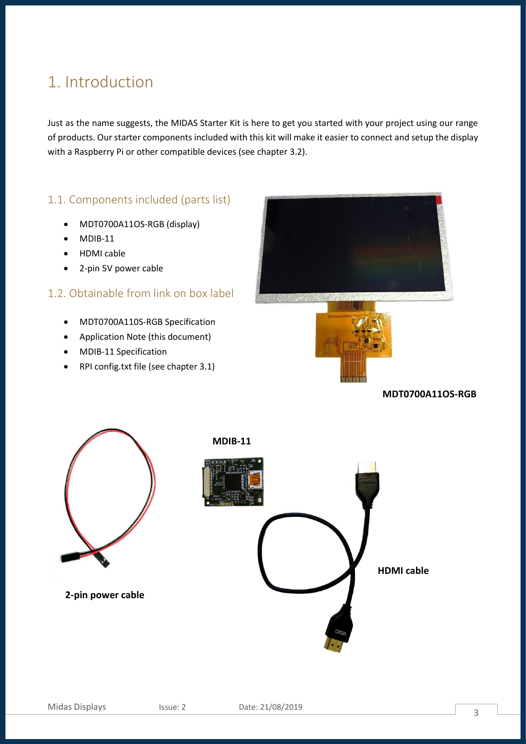### <span id="page-3-0"></span>1. Introduction

Just as the name suggests, the MIDAS Starter Kit is here to get you started with your project using our range of products. Our starter components included with this kit will make it easier to connect and setup the display with a Raspberry Pi or other compatible devices (see chapter 3.2).

#### <span id="page-3-1"></span>1.1. Components included (parts list)

- MDT0700A11OS-RGB (display)
- $\bullet$  MDIB-11
- HDMI cable
- 2-pin 5V power cable

#### <span id="page-3-2"></span>1.2. Obtainable from link on box label

- MDT0700A110S-RGB Specification
- Application Note (this document)
- MDIB-11 Specification
- RPI config.txt file (see chapter 3.1)





**MDT0700A11OS-RGB**



**2-pin power cable**



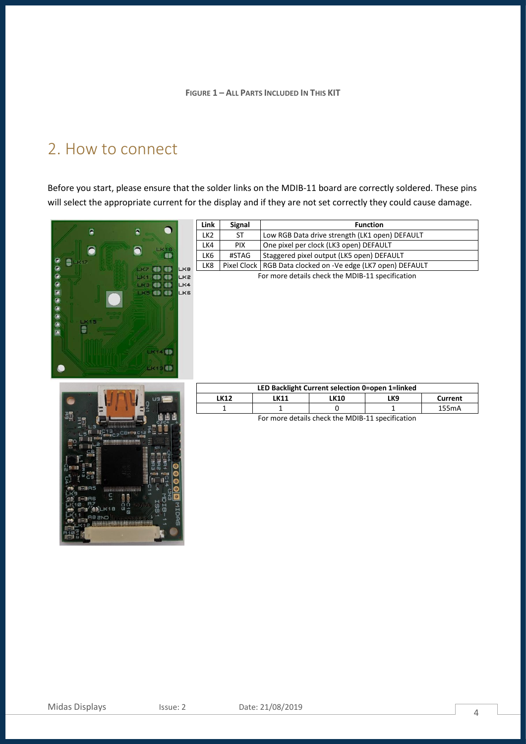### <span id="page-4-0"></span>2. How to connect

Before you start, please ensure that the solder links on the MDIB-11 board are correctly soldered. These pins will select the appropriate current for the display and if they are not set correctly they could cause damage.



| Link                                             | <b>Signal</b> | <b>Function</b>                                               |  |  |
|--------------------------------------------------|---------------|---------------------------------------------------------------|--|--|
| LK2                                              | ST            | Low RGB Data drive strength (LK1 open) DEFAULT                |  |  |
| LK4                                              | PIX.          | One pixel per clock (LK3 open) DEFAULT                        |  |  |
| LK6                                              | #STAG         | Staggered pixel output (LK5 open) DEFAULT                     |  |  |
| LK8                                              |               | Pixel Clock   RGB Data clocked on -Ve edge (LK7 open) DEFAULT |  |  |
| For more details check the MDIB-11 specification |               |                                                               |  |  |



| LED Backlight Current selection 0=open 1=linked |      |      |     |         |  |  |  |  |
|-------------------------------------------------|------|------|-----|---------|--|--|--|--|
| LK 12                                           | .K11 | ∟K10 | -K9 | Current |  |  |  |  |
|                                                 |      |      |     | 155mA   |  |  |  |  |

For more details check the MDIB-11 specification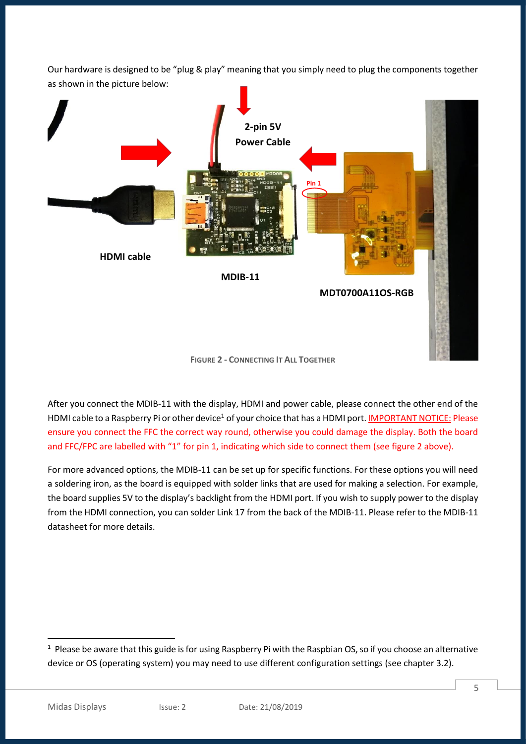Our hardware is designed to be "plug & play" meaning that you simply need to plug the components together as shown in the picture below:



**FIGURE 2 - CONNECTING IT ALL TOGETHER**

After you connect the MDIB-11 with the display, HDMI and power cable, please connect the other end of the HDMI cable to a Raspberry Pi or other device<sup>1</sup> of your choice that has a HDMI port. IMPORTANT NOTICE: Please ensure you connect the FFC the correct way round, otherwise you could damage the display. Both the board and FFC/FPC are labelled with "1" for pin 1, indicating which side to connect them (see figure 2 above).

<span id="page-5-0"></span>For more advanced options, the MDIB-11 can be set up for specific functions. For these options you will need a soldering iron, as the board is equipped with solder links that are used for making a selection. For example, the board supplies 5V to the display's backlight from the HDMI port. If you wish to supply power to the display from the HDMI connection, you can solder Link 17 from the back of the MDIB-11. Please refer to the MDIB-11 datasheet for more details.

 $1$  Please be aware that this guide is for using Raspberry Pi with the Raspbian OS, so if you choose an alternative device or OS (operating system) you may need to use different configuration settings (see chapter 3.2).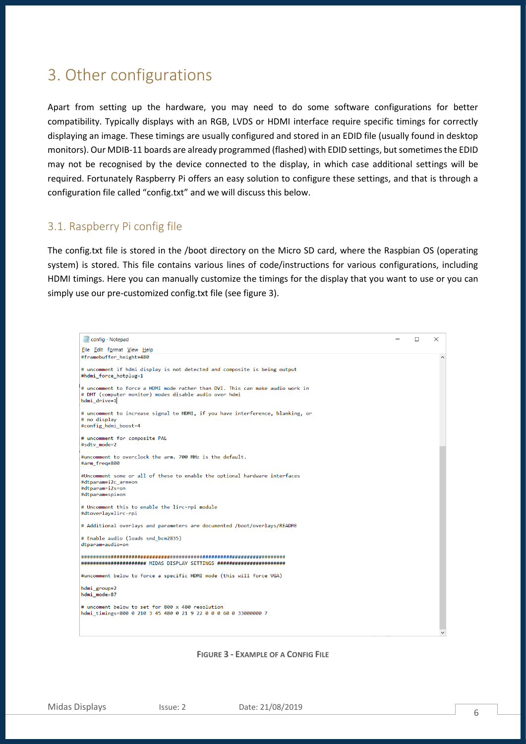### 3. Other configurations

Apart from setting up the hardware, you may need to do some software configurations for better compatibility. Typically displays with an RGB, LVDS or HDMI interface require specific timings for correctly displaying an image. These timings are usually configured and stored in an EDID file (usually found in desktop monitors). Our MDIB-11 boards are already programmed (flashed) with EDID settings, but sometimes the EDID may not be recognised by the device connected to the display, in which case additional settings will be required. Fortunately Raspberry Pi offers an easy solution to configure these settings, and that is through a configuration file called "config.txt" and we will discuss this below.

#### <span id="page-6-0"></span>3.1. Raspberry Pi config file

The config.txt file is stored in the /boot directory on the Micro SD card, where the Raspbian OS (operating system) is stored. This file contains various lines of code/instructions for various configurations, including HDMI timings. Here you can manually customize the timings for the display that you want to use or you can simply use our pre-customized config.txt file (see figure 3).

| config - Notepad                                                                                                                                        | □ | X            |
|---------------------------------------------------------------------------------------------------------------------------------------------------------|---|--------------|
| File Edit Format View Help                                                                                                                              |   |              |
| #framebuffer height=480                                                                                                                                 |   | $\wedge$     |
| # uncomment if hdmi display is not detected and composite is being output<br>#hdmi force hotplug=1                                                      |   |              |
| # uncomment to force a HDMI mode rather than DVI. This can make audio work in<br># DMT (computer monitor) modes disable audio over hdmi<br>hdmi_drive=1 |   |              |
| # uncomment to increase signal to HDMI, if you have interference, blanking, or<br># no display<br>#config hdmi boost=4                                  |   |              |
| # uncomment for composite PAL<br>#sdtv_mode=2                                                                                                           |   |              |
| #uncomment to overclock the arm. 700 MHz is the default.<br>#arm freq=800                                                                               |   |              |
| #Uncomment some or all of these to enable the optional hardware interfaces<br>#dtparam=i2c arm=on<br>#dtparam=i2s=on<br>#dtparam=spi=on                 |   |              |
| # Uncomment this to enable the lirc-rpi module<br>#dtoverlay=lirc-rpi                                                                                   |   |              |
| # Additional overlays and parameters are documented /boot/overlays/README                                                                               |   |              |
| # Enable audio (loads snd_bcm2835)<br>dtparam=audio=on                                                                                                  |   |              |
| ###################### MIDAS DISPLAY SETTINGS #######################                                                                                   |   |              |
| #uncomment below to force a specific HDMI mode (this will force VGA)                                                                                    |   |              |
| hdmi group=2<br>hdmi mode=87                                                                                                                            |   |              |
| # uncoment below to set for 800 x 480 resolution<br>hdmi timings=800 0 210 3 45 480 0 21 9 22 0 0 0 60 0 33000000 7                                     |   |              |
|                                                                                                                                                         |   | $\checkmark$ |

#### **FIGURE 3 - EXAMPLE OF A CONFIG FILE**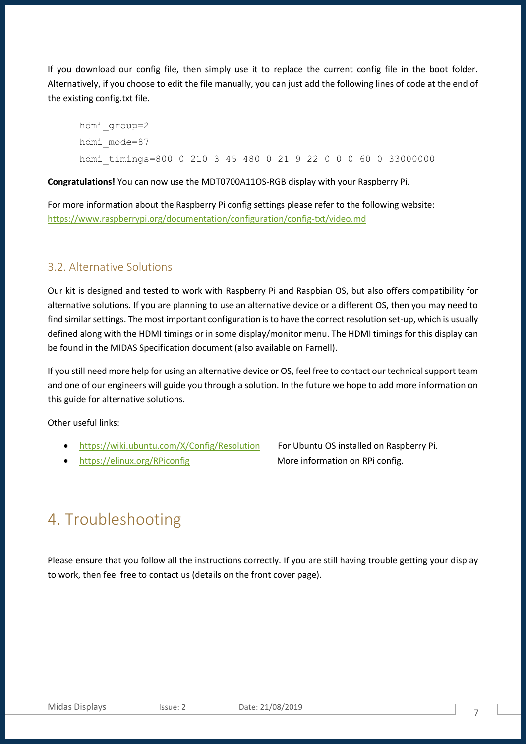If you download our config file, then simply use it to replace the current config file in the boot folder. Alternatively, if you choose to edit the file manually, you can just add the following lines of code at the end of the existing config.txt file.

hdmi\_group=2 hdmi\_mode=87 hdmi timings=800 0 210 3 45 480 0 21 9 22 0 0 0 60 0 33000000

**Congratulations!** You can now use the MDT0700A11OS-RGB display with your Raspberry Pi.

For more information about the Raspberry Pi config settings please refer to the following website: <https://www.raspberrypi.org/documentation/configuration/config-txt/video.md>

#### <span id="page-7-0"></span>3.2. Alternative Solutions

Our kit is designed and tested to work with Raspberry Pi and Raspbian OS, but also offers compatibility for alternative solutions. If you are planning to use an alternative device or a different OS, then you may need to find similar settings. The most important configuration is to have the correct resolution set-up, which is usually defined along with the HDMI timings or in some display/monitor menu. The HDMI timings for this display can be found in the MIDAS Specification document (also available on Farnell).

If you still need more help for using an alternative device or OS, feel free to contact our technical support team and one of our engineers will guide you through a solution. In the future we hope to add more information on this guide for alternative solutions.

Other useful links:

- <https://wiki.ubuntu.com/X/Config/Resolution>For Ubuntu OS installed on Raspberry Pi.
- <https://elinux.org/RPiconfig> More information on RPi config.

### <span id="page-7-1"></span>4. Troubleshooting

Please ensure that you follow all the instructions correctly. If you are still having trouble getting your display to work, then feel free to contact us (details on the front cover page).